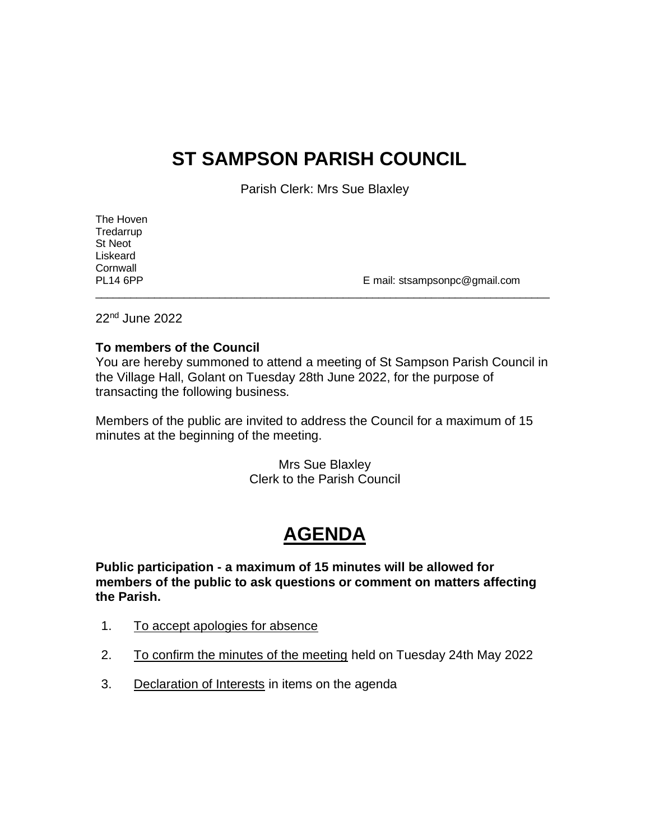## **ST SAMPSON PARISH COUNCIL**

Parish Clerk: Mrs Sue Blaxley

| The Hoven       |                               |
|-----------------|-------------------------------|
| Tredarrup       |                               |
| St Neot         |                               |
| Liskeard        |                               |
| Cornwall        |                               |
| <b>PL14 6PP</b> | E mail: stsampsonpc@gmail.com |
|                 |                               |

22nd June 2022

#### **To members of the Council**

You are hereby summoned to attend a meeting of St Sampson Parish Council in the Village Hall, Golant on Tuesday 28th June 2022, for the purpose of transacting the following business.

Members of the public are invited to address the Council for a maximum of 15 minutes at the beginning of the meeting.

> Mrs Sue Blaxley Clerk to the Parish Council

# **AGENDA**

**Public participation - a maximum of 15 minutes will be allowed for members of the public to ask questions or comment on matters affecting the Parish.**

- 1. To accept apologies for absence
- 2. To confirm the minutes of the meeting held on Tuesday 24th May 2022
- 3. Declaration of Interests in items on the agenda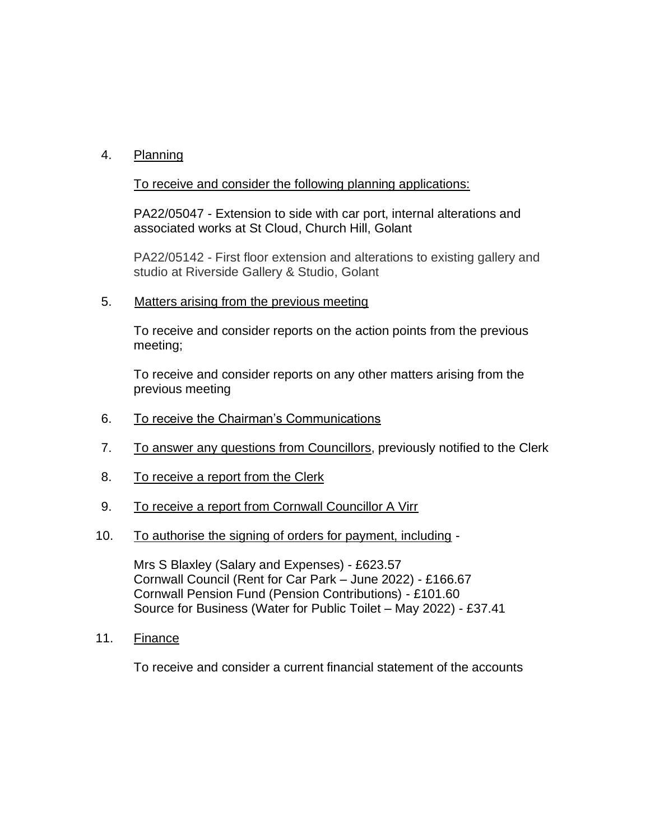## 4. Planning

## To receive and consider the following planning applications:

PA22/05047 - Extension to side with car port, internal alterations and associated works at St Cloud, Church Hill, Golant

PA22/05142 - First floor extension and alterations to existing gallery and studio at Riverside Gallery & Studio, Golant

5. Matters arising from the previous meeting

To receive and consider reports on the action points from the previous meeting;

To receive and consider reports on any other matters arising from the previous meeting

- 6. To receive the Chairman's Communications
- 7. To answer any questions from Councillors, previously notified to the Clerk
- 8. To receive a report from the Clerk
- 9. To receive a report from Cornwall Councillor A Virr
- 10. To authorise the signing of orders for payment, including -

Mrs S Blaxley (Salary and Expenses) - £623.57 Cornwall Council (Rent for Car Park – June 2022) - £166.67 Cornwall Pension Fund (Pension Contributions) - £101.60 Source for Business (Water for Public Toilet – May 2022) - £37.41

11. Finance

To receive and consider a current financial statement of the accounts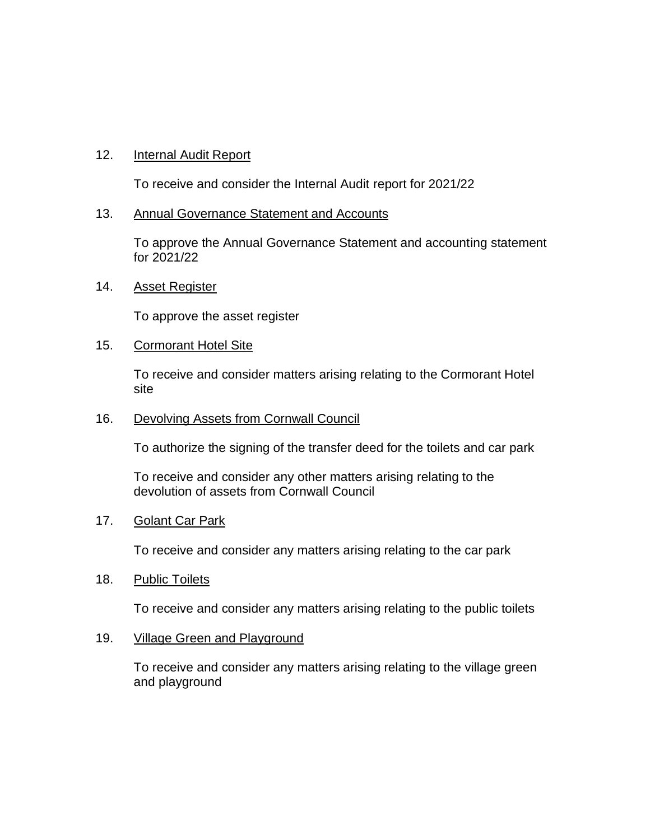## 12. Internal Audit Report

To receive and consider the Internal Audit report for 2021/22

#### 13. Annual Governance Statement and Accounts

To approve the Annual Governance Statement and accounting statement for 2021/22

### 14. Asset Register

To approve the asset register

#### 15. Cormorant Hotel Site

To receive and consider matters arising relating to the Cormorant Hotel site

#### 16. Devolving Assets from Cornwall Council

To authorize the signing of the transfer deed for the toilets and car park

To receive and consider any other matters arising relating to the devolution of assets from Cornwall Council

## 17. Golant Car Park

To receive and consider any matters arising relating to the car park

#### 18. Public Toilets

To receive and consider any matters arising relating to the public toilets

## 19. Village Green and Playground

To receive and consider any matters arising relating to the village green and playground